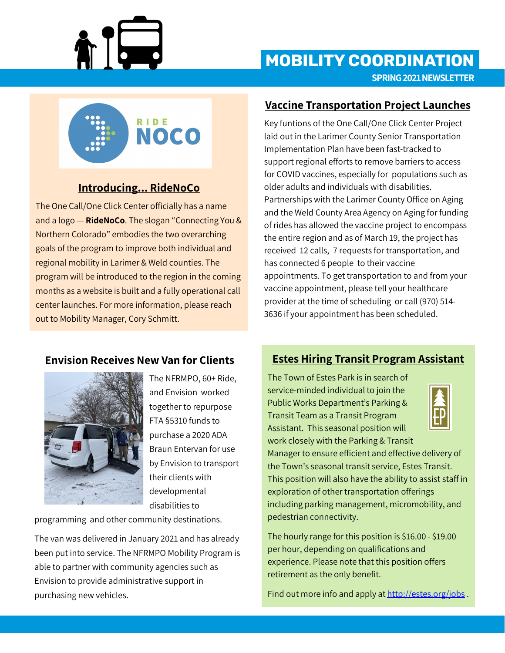

# **SPRING 2021 NEWSLETTER MOBILITY COORDINATION**



## **Introducing... RideNoCo**

The One Call/One Click Center officially has a name and a logo — **RideNoCo**. The slogan "Connecting You & Northern Colorado" embodies the two overarching goals of the program to improve both individual and regional mobility in Larimer & Weld counties. The program will be introduced to the region in the coming months as a website is built and a fully operational call center launches. For more information, please reach out to Mobility Manager, Cory Schmitt.

#### **Vaccine Transportation Project Launches**

Key funtions of the One Call/One Click Center Project laid out in the Larimer County Senior Transportation Implementation Plan have been fast-tracked to support regional efforts to remove barriers to access for COVID vaccines, especially for populations such as older adults and individuals with disabilities. Partnerships with the Larimer County Office on Aging and the Weld County Area Agency on Aging for funding of rides has allowed the vaccine project to encompass the entire region and as of March 19, the project has received 12 calls, 7 requests for transportation, and has connected 6 people to their vaccine appointments. To get transportation to and from your vaccine appointment, please tell your healthcare provider at the time of scheduling or call (970) 514- 3636 if your appointment has been scheduled.

#### **Envision Receives New Van for Clients**



The NFRMPO, 60+ Ride, and Envision worked together to repurpose FTA §5310 funds to purchase a 2020 ADA Braun Entervan for use by Envision to transport their clients with developmental disabilities to

programming and other community destinations.

The van was delivered in January 2021 and has already been put into service. The NFRMPO Mobility Program is able to partner with community agencies such as Envision to provide administrative support in purchasing new vehicles.

## **Estes Hiring Transit Program Assistant**

The Town of Estes Park is in search of service-minded individual to join the Public Works Department's Parking & Transit Team as a Transit Program Assistant. This seasonal position will work closely with the Parking & Transit



Manager to ensure efficient and effective delivery of the Town's seasonal transit service, Estes Transit. This position will also have the ability to assist staff in exploration of other transportation offerings including parking management, micromobility, and pedestrian connectivity.

The hourly range for this position is \$16.00 - \$19.00 per hour, depending on qualifications and experience. Please note that this position offers retirement as the only benefit.

Find out more info and apply at [http://estes.org/jobs](https://estes.org/jobs) .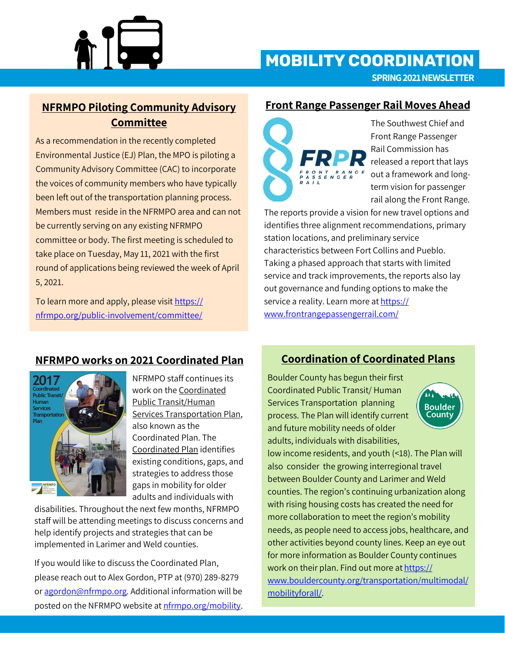

# **SPRING 2021 NEWSLETTER MOBILITY COORDINATION**

### **NFRMPO Piloting Community Advisory Committee**

As a recommendation in the recently completed Environmental Justice (EJ) Plan, the MPO is piloting a Community Advisory Committee (CAC) to incorporate the voices of community members who have typically been left out of the transportation planning process. Members must reside in the NFRMPO area and can not be currently serving on any existing NFRMPO committee or body. The first meeting is scheduled to take place on Tuesday, May 11, 2021 with the first round of applications being reviewed the week of April 5, 2021.

To learn more and apply, please visit [https://](https://nfrmpo.org/public-involvement/committee/) nfrmpo.org/public-[involvement/committee/](https://nfrmpo.org/public-involvement/committee/)

#### **Front Range Passenger Rail Moves Ahead**



The Southwest Chief and Front Range Passenger Rail Commission has released a report that lays out a framework and longterm vision for passenger rail along the Front Range.

The reports provide a vision for new travel options and identifies three alignment recommendations, primary station locations, and preliminary service characteristics between Fort Collins and Pueblo. Taking a phased approach that starts with limited service and track improvements, the reports also lay out governance and funding options to make the service a reality. Learn more at [https://](https://www.frontrangepassengerrail.com/) [www.frontrangepassengerrail.com/](https://www.frontrangepassengerrail.com/)

#### **NFRMPO works on 2021 Coordinated Plan**



NFRMPO staff continues its work on the Coordinated Public Transit/Human Services Transportation Plan, also known as the Coordinated Plan. The Coordinated Plan identifies existing conditions, gaps, and strategies to address those gaps in mobility for older adults and individuals with

disabilities. Throughout the next few months, NFRMPO staff will be attending meetings to discuss concerns and help identify projects and strategies that can be implemented in Larimer and Weld counties.

If you would like to discuss the Coordinated Plan, please reach out to Alex Gordon, PTP at (970) 289-8279 or [agordon@nfrmpo.org.](mailto:agordon@nfrmpo.org) Additional information will be posted on the NFRMPO website at [nfrmpo.org/mobility.](https://nfrmpo.org/mobility)

### **Coordination of Coordinated Plans**

Boulder County has begun their first Coordinated Public Transit/ Human Services Transportation planning process. The Plan will identify current and future mobility needs of older adults, individuals with disabilities,



low income residents, and youth (<18). The Plan will also consider the growing interregional travel between Boulder County and Larimer and Weld counties. The region's continuing urbanization along with rising housing costs has created the need for more collaboration to meet the region's mobility needs, as people need to access jobs, healthcare, and other activities beyond county lines. Keep an eye out for more information as Boulder County continues work on their plan. Find out more at [https://](https://www.bouldercounty.org/transportation/multimodal/mobilityforall/) [www.bouldercounty.org/transportation/multimodal/](https://www.bouldercounty.org/transportation/multimodal/mobilityforall/) [mobilityforall/.](https://www.bouldercounty.org/transportation/multimodal/mobilityforall/)